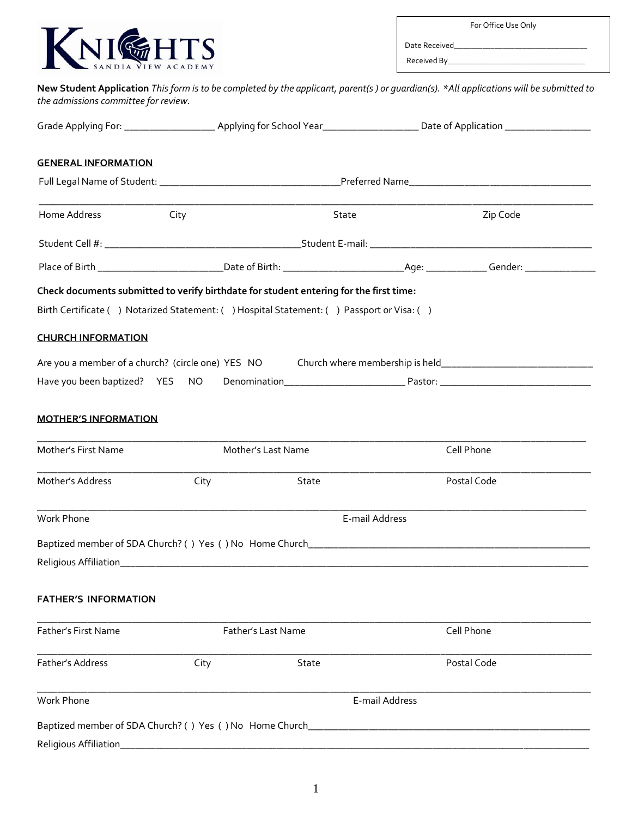

For Office Use Only

Date Received Received By\_\_\_\_\_\_\_\_\_\_\_\_\_\_\_\_\_\_\_\_\_\_\_\_\_\_\_\_\_\_\_\_\_\_

Full Legal Name of Student: \_\_\_\_\_\_\_\_\_\_\_\_\_\_\_\_\_\_\_\_\_\_\_\_\_\_\_\_\_\_\_\_\_\_\_\_Preferred Name\_\_\_\_\_\_\_\_\_\_\_\_\_\_\_\_\_\_\_\_\_\_\_\_\_\_\_\_\_\_\_\_\_\_\_\_ \_\_\_\_\_\_\_\_\_\_\_\_\_\_\_\_\_\_\_\_\_\_\_\_\_\_\_\_\_\_\_\_\_\_\_\_\_\_\_\_\_\_\_\_\_\_\_\_\_\_\_\_\_\_\_\_\_\_\_\_\_\_\_\_\_\_\_\_\_\_\_\_\_\_\_\_\_\_\_\_\_\_\_\_\_\_\_\_\_\_\_\_\_\_\_\_\_\_\_\_\_\_\_\_\_\_\_\_\_\_ Home Address **City** City City State State City State Zip Code Student Cell #: \_\_\_\_\_\_\_\_\_\_\_\_\_\_\_\_\_\_\_\_\_\_\_\_\_\_\_\_\_\_\_\_\_\_\_\_\_\_\_Student E-mail: \_\_\_\_\_\_\_\_\_\_\_\_\_\_\_\_\_\_\_\_\_\_\_\_\_\_\_\_\_\_\_\_\_\_\_\_\_\_\_\_\_\_\_\_ Place of Birth \_\_\_\_\_\_\_\_\_\_\_\_\_\_\_\_\_\_\_\_\_\_\_\_\_Date of Birth: \_\_\_\_\_\_\_\_\_\_\_\_\_\_\_\_\_\_\_\_\_\_\_\_Age: \_\_\_\_\_\_\_\_\_\_\_\_ Gender: \_\_\_\_\_\_\_\_\_\_\_\_\_\_ **New Student Application** *This form is to be completed by the applicant, parent(s ) or guardian(s). \*All applications will be submitted to the admissions committee for review.* Grade Applying For: \_\_\_\_\_\_\_\_\_\_\_\_\_\_\_\_\_\_ Applying for School Year\_\_\_\_\_\_\_\_\_\_\_\_\_\_\_\_\_\_\_ Date of Application \_\_\_\_\_\_\_\_\_\_\_\_\_\_\_\_\_ **GENERAL INFORMATION Check documents submitted to verify birthdate for student entering for the first time:** Birth Certificate () Notarized Statement: () Hospital Statement: () Passport or Visa: () **CHURCH INFORMATION** Are you a member of a church? (circle one) YES NO Church where membership is held\_\_\_\_\_\_\_\_\_\_\_\_\_\_\_\_\_\_\_\_\_\_\_\_\_\_\_\_\_ Have you been baptized? YES NO Denomination\_\_\_\_\_\_\_\_\_\_\_\_\_\_\_\_\_\_\_\_\_\_\_\_ Pastor: \_\_\_\_\_\_\_\_\_\_\_\_\_\_\_\_\_\_\_\_\_\_\_\_\_\_\_\_\_\_ **MOTHER'S INFORMATION**  \_\_\_\_\_\_\_\_\_\_\_\_\_\_\_\_\_\_\_\_\_\_\_\_\_\_\_\_\_\_\_\_\_\_\_\_\_\_\_\_\_\_\_\_\_\_\_\_\_\_\_\_\_\_\_\_\_\_\_\_\_\_\_\_\_\_\_\_\_\_\_\_\_\_\_\_\_\_\_\_\_\_\_\_\_\_\_\_\_\_\_\_\_\_\_\_\_\_\_\_\_\_\_\_\_\_\_\_\_ Mother's First Name The Mother's Last Name The Cell Phone \_\_\_\_\_\_\_\_\_\_\_\_\_\_\_\_\_\_\_\_\_\_\_\_\_\_\_\_\_\_\_\_\_\_\_\_\_\_\_\_\_\_\_\_\_\_\_\_\_\_\_\_\_\_\_\_\_\_\_\_\_\_\_\_\_\_\_\_\_\_\_\_\_\_\_\_\_\_\_\_\_\_\_\_\_\_\_\_\_\_\_\_\_\_\_\_\_\_\_\_\_\_\_\_\_\_\_\_\_\_ Mother's Address **City** City State **Postal Code** \_\_\_\_\_\_\_\_\_\_\_\_\_\_\_\_\_\_\_\_\_\_\_\_\_\_\_\_\_\_\_\_\_\_\_\_\_\_\_\_\_\_\_\_\_\_\_\_\_\_\_\_\_\_\_\_\_\_\_\_\_\_\_\_\_\_\_\_\_\_\_\_\_\_\_\_\_\_\_\_\_\_\_\_\_\_\_\_\_\_\_\_\_\_\_\_\_\_\_\_\_\_\_\_\_\_\_\_\_ Work Phone E-mail Address Baptized member of SDA Church? ( ) Yes ( ) No Home Church\_\_\_\_\_\_\_\_\_\_\_\_\_\_\_\_\_\_\_\_\_\_\_\_\_\_\_\_\_\_\_\_\_\_\_\_\_\_\_\_\_\_\_\_\_\_\_\_\_\_\_\_\_\_\_\_ Religious Affiliation\_\_\_\_\_\_\_\_\_\_\_\_\_\_\_\_\_\_\_\_\_\_\_\_\_\_\_\_\_\_\_\_\_\_\_\_\_\_\_\_\_\_\_\_\_\_\_\_\_\_\_\_\_\_\_\_\_\_\_\_\_\_\_\_\_\_\_\_\_\_\_\_\_\_\_\_\_\_\_\_\_\_\_\_\_\_\_\_\_\_\_\_\_ **FATHER'S INFORMATION**  \_\_\_\_\_\_\_\_\_\_\_\_\_\_\_\_\_\_\_\_\_\_\_\_\_\_\_\_\_\_\_\_\_\_\_\_\_\_\_\_\_\_\_\_\_\_\_\_\_\_\_\_\_\_\_\_\_\_\_\_\_\_\_\_\_\_\_\_\_\_\_\_\_\_\_\_\_\_\_\_\_\_\_\_\_\_\_\_\_\_\_\_\_\_\_\_\_\_\_\_\_\_\_\_\_\_\_\_\_\_ Father's First Name Father's Last Name Cell Phone \_\_\_\_\_\_\_\_\_\_\_\_\_\_\_\_\_\_\_\_\_\_\_\_\_\_\_\_\_\_\_\_\_\_\_\_\_\_\_\_\_\_\_\_\_\_\_\_\_\_\_\_\_\_\_\_\_\_\_\_\_\_\_\_\_\_\_\_\_\_\_\_\_\_\_\_\_\_\_\_\_\_\_\_\_\_\_\_\_\_\_\_\_\_\_\_\_\_\_\_\_\_\_\_\_\_\_\_\_\_ Father's Address **City** City State **Postal Code** Postal Code \_\_\_\_\_\_\_\_\_\_\_\_\_\_\_\_\_\_\_\_\_\_\_\_\_\_\_\_\_\_\_\_\_\_\_\_\_\_\_\_\_\_\_\_\_\_\_\_\_\_\_\_\_\_\_\_\_\_\_\_\_\_\_\_\_\_\_\_\_\_\_\_\_\_\_\_\_\_\_\_\_\_\_\_\_\_\_\_\_\_\_\_\_\_\_\_\_\_\_\_\_\_\_\_\_\_\_\_\_\_ Work Phone E-mail Address

Baptized member of SDA Church? ( ) Yes ( ) No Home Church\_\_\_\_\_\_\_\_\_\_\_\_\_\_\_\_\_\_\_\_\_\_\_\_\_\_\_\_\_\_\_\_\_\_\_\_\_\_\_\_\_\_\_\_\_\_\_\_\_\_\_\_\_\_\_\_ Religious Affiliation and the state of the state of the state of the state of the state of the state of the state of the state of the state of the state of the state of the state of the state of the state of the state of t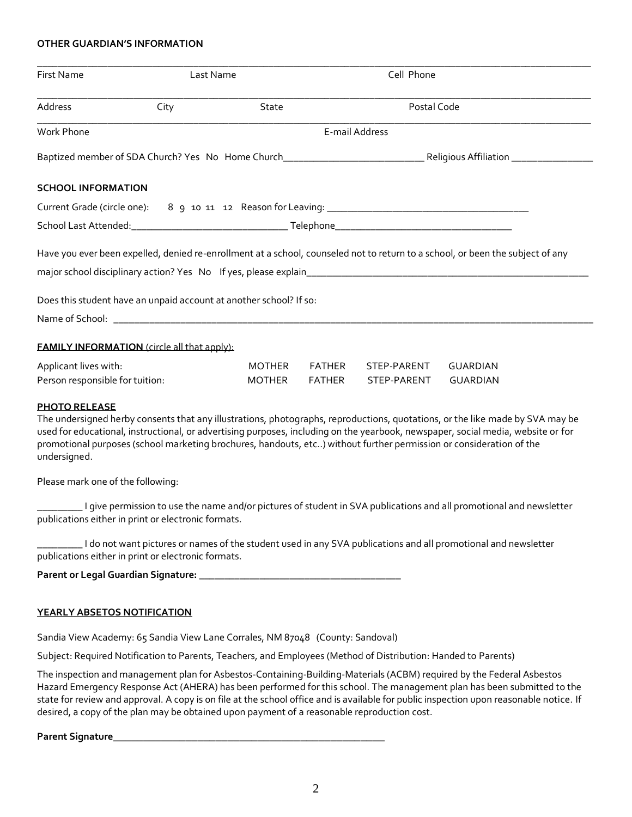# **OTHER GUARDIAN'S INFORMATION**

| Last Name<br><b>First Name</b> |                                                                    |                | Cell Phone |             |                                                                                                                                |
|--------------------------------|--------------------------------------------------------------------|----------------|------------|-------------|--------------------------------------------------------------------------------------------------------------------------------|
| Address                        | City                                                               | State          |            | Postal Code |                                                                                                                                |
| Work Phone                     |                                                                    | E-mail Address |            |             |                                                                                                                                |
|                                |                                                                    |                |            |             |                                                                                                                                |
| <b>SCHOOL INFORMATION</b>      |                                                                    |                |            |             |                                                                                                                                |
|                                |                                                                    |                |            |             |                                                                                                                                |
|                                |                                                                    |                |            |             |                                                                                                                                |
|                                |                                                                    |                |            |             |                                                                                                                                |
|                                |                                                                    |                |            |             |                                                                                                                                |
|                                |                                                                    |                |            |             |                                                                                                                                |
|                                | Does this student have an unpaid account at another school? If so: |                |            |             |                                                                                                                                |
|                                |                                                                    |                |            |             | Have you ever been expelled, denied re-enrollment at a school, counseled not to return to a school, or been the subject of any |
|                                | <b>FAMILY INFORMATION</b> (circle all that apply):                 |                |            |             |                                                                                                                                |
| Applicant lives with:          |                                                                    | <b>MOTHER</b>  | FATHER     | STEP-PARENT | <b>GUARDIAN</b>                                                                                                                |

### **PHOTO RELEASE**

The undersigned herby consents that any illustrations, photographs, reproductions, quotations, or the like made by SVA may be used for educational, instructional, or advertising purposes, including on the yearbook, newspaper, social media, website or for promotional purposes (school marketing brochures, handouts, etc..) without further permission or consideration of the undersigned.

Please mark one of the following:

\_\_\_\_\_\_\_\_\_ I give permission to use the name and/or pictures of student in SVA publications and all promotional and newsletter publications either in print or electronic formats.

\_\_\_\_\_\_\_\_\_ I do not want pictures or names of the student used in any SVA publications and all promotional and newsletter publications either in print or electronic formats.

| Parent or Legal Guardian Signature: |  |
|-------------------------------------|--|
|-------------------------------------|--|

# **YEARLY ABSETOS NOTIFICATION**

Sandia View Academy: 65 Sandia View Lane Corrales, NM 87048 (County: Sandoval)

Subject: Required Notification to Parents, Teachers, and Employees (Method of Distribution: Handed to Parents)

The inspection and management plan for Asbestos-Containing-Building-Materials (ACBM) required by the Federal Asbestos Hazard Emergency Response Act (AHERA) has been performed for this school. The management plan has been submitted to the state for review and approval. A copy is on file at the school office and is available for public inspection upon reasonable notice. If desired, a copy of the plan may be obtained upon payment of a reasonable reproduction cost.

**Parent Signature**\_\_\_\_\_\_\_\_\_\_\_\_\_\_\_\_\_\_\_\_\_\_\_\_\_\_\_\_\_\_\_\_\_\_\_\_\_\_\_\_\_\_\_\_\_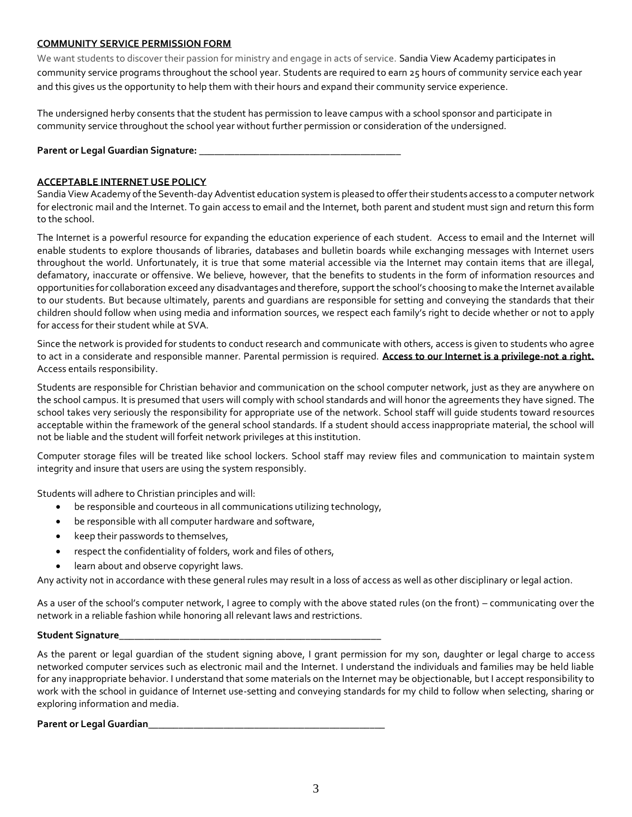# **COMMUNITY SERVICE PERMISSION FORM**

We want students to discover their passion for ministry and engage in acts of service. Sandia View Academy participates in community service programs throughout the school year. Students are required to earn 25 hours of community service each year and this gives us the opportunity to help them with their hours and expand their community service experience.

The undersigned herby consents that the student has permission to leave campus with a school sponsor and participate in community service throughout the school year without further permission or consideration of the undersigned.

**Parent or Legal Guardian Signature: \_\_\_\_\_\_\_\_\_\_\_\_\_\_\_\_\_\_\_\_\_\_\_\_\_\_\_\_\_\_\_\_\_\_\_\_\_\_\_\_** 

# **ACCEPTABLE INTERNET USE POLICY**

Sandia View Academy of the Seventh-day Adventist education system is pleased to offer their students access to a computer network for electronic mail and the Internet. To gain access to email and the Internet, both parent and student must sign and return this form to the school.

The Internet is a powerful resource for expanding the education experience of each student. Access to email and the Internet will enable students to explore thousands of libraries, databases and bulletin boards while exchanging messages with Internet users throughout the world. Unfortunately, it is true that some material accessible via the Internet may contain items that are illegal, defamatory, inaccurate or offensive. We believe, however, that the benefits to students in the form of information resources and opportunities for collaboration exceed any disadvantages and therefore, support the school's choosing to make the Internet available to our students. But because ultimately, parents and guardians are responsible for setting and conveying the standards that their children should follow when using media and information sources, we respect each family's right to decide whether or not to apply for access for their student while at SVA.

Since the network is provided for students to conduct research and communicate with others, access is given to students who agree to act in a considerate and responsible manner. Parental permission is required. **Access to our Internet is a privilege-not a right.** Access entails responsibility.

Students are responsible for Christian behavior and communication on the school computer network, just as they are anywhere on the school campus. It is presumed that users will comply with school standards and will honor the agreements they have signed. The school takes very seriously the responsibility for appropriate use of the network. School staff will guide students toward resources acceptable within the framework of the general school standards. If a student should access inappropriate material, the school will not be liable and the student will forfeit network privileges at this institution.

Computer storage files will be treated like school lockers. School staff may review files and communication to maintain system integrity and insure that users are using the system responsibly.

Students will adhere to Christian principles and will:

- be responsible and courteous in all communications utilizing technology,
- be responsible with all computer hardware and software,
- keep their passwords to themselves,
- respect the confidentiality of folders, work and files of others,
- learn about and observe copyright laws.

Any activity not in accordance with these general rules may result in a loss of access as well as other disciplinary or legal action.

As a user of the school's computer network, I agree to comply with the above stated rules (on the front) – communicating over the network in a reliable fashion while honoring all relevant laws and restrictions.

# **Student Signature\_\_\_\_\_\_\_\_\_\_\_\_\_\_\_\_\_\_\_\_\_\_\_\_\_\_\_\_\_\_\_\_\_\_\_\_\_\_\_\_\_\_\_\_\_\_\_\_\_\_\_\_**

As the parent or legal guardian of the student signing above, I grant permission for my son, daughter or legal charge to access networked computer services such as electronic mail and the Internet. I understand the individuals and families may be held liable for any inappropriate behavior. I understand that some materials on the Internet may be objectionable, but I accept responsibility to work with the school in guidance of Internet use-setting and conveying standards for my child to follow when selecting, sharing or exploring information and media.

# **Parent or Legal Guardian\_\_\_\_\_\_\_\_\_\_\_\_\_\_\_\_\_\_\_\_\_\_\_\_\_\_\_\_\_\_\_\_\_\_\_\_\_\_\_\_\_\_\_\_\_\_\_**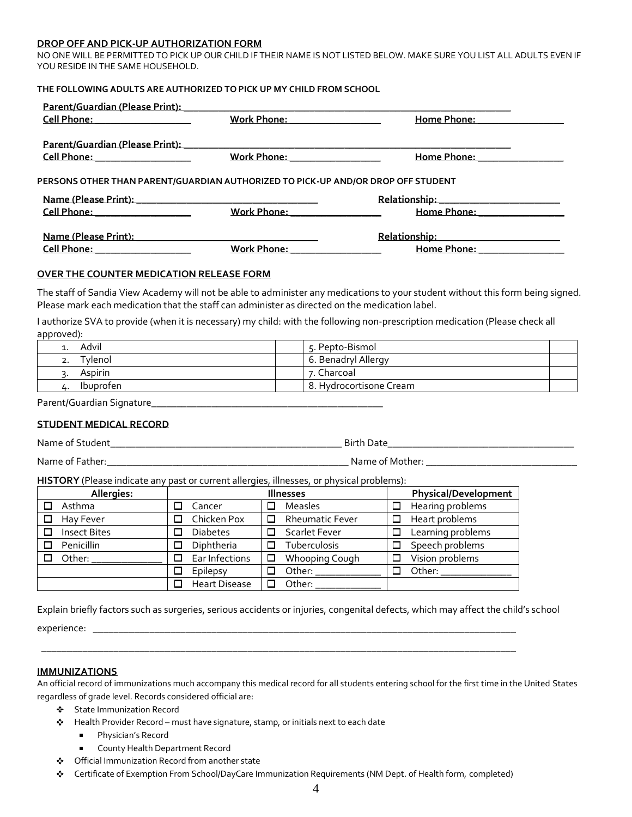#### **DROP OFF AND PICK-UP AUTHORIZATION FORM**

NO ONE WILL BE PERMITTED TO PICK UP OUR CHILD IF THEIR NAME IS NOT LISTED BELOW. MAKE SURE YOU LIST ALL ADULTS EVEN IF YOU RESIDE IN THE SAME HOUSEHOLD.

# **THE FOLLOWING ADULTS ARE AUTHORIZED TO PICK UP MY CHILD FROM SCHOOL**

| <u>Cell Phone: ___________________</u>                                           | Work Phone: __________________      | Home Phone: 2000               |  |
|----------------------------------------------------------------------------------|-------------------------------------|--------------------------------|--|
| <u>Cell Phone: ____________________</u>                                          | <u>Work Phone: ________________</u> | Home Phone: _______________    |  |
|                                                                                  |                                     |                                |  |
| PERSONS OTHER THAN PARENT/GUARDIAN AUTHORIZED TO PICK-UP AND/OR DROP OFF STUDENT |                                     |                                |  |
|                                                                                  |                                     |                                |  |
| <u>Cell Phone: ___________________</u>                                           | Work Phone: Work Phone:             | Home Phone: 2000               |  |
|                                                                                  |                                     |                                |  |
|                                                                                  | <u>Work Phone: _______________</u>  | Home Phone: __________________ |  |

## **OVER THE COUNTER MEDICATION RELEASE FORM**

The staff of Sandia View Academy will not be able to administer any medications to your student without this form being signed. Please mark each medication that the staff can administer as directed on the medication label.

I authorize SVA to provide (when it is necessary) my child: with the following non-prescription medication (Please check all approved):

| Advil         | 5. Pepto-Bismol         |
|---------------|-------------------------|
| <u>vlenol</u> | 6. Benadryl Allergy     |
| Aspirin       | 7. Charcoal             |
| Ibuprofen     | 8. Hydrocortisone Cream |

Parent/Guardian Signature\_\_\_\_\_\_\_\_\_\_\_\_\_\_\_\_\_\_\_\_\_\_\_\_\_\_\_\_\_\_\_\_\_\_\_\_\_\_\_\_\_\_\_\_\_\_

# **STUDENT MEDICAL RECORD**

| Name of Student | <b>Birth Date</b> |  |
|-----------------|-------------------|--|
| Name of Father: | Name of Mother:   |  |

**HISTORY** (Please indicate any past or current allergies, illnesses, or physical problems):

| Allergies:               | <b>Illnesses</b>     |                        | <b>Physical/Development</b> |
|--------------------------|----------------------|------------------------|-----------------------------|
| Asthma                   | Cancer               | <b>Measles</b>         | Hearing problems<br>□       |
| Hay Fever                | Chicken Pox          | <b>Rheumatic Fever</b> | Heart problems<br>□         |
| <b>Insect Bites</b><br>□ | <b>Diabetes</b>      | Scarlet Fever          | Learning problems<br>□      |
| Penicillin               | Diphtheria           | Tuberculosis           | Speech problems<br>□        |
| Other:                   | Ear Infections       | Whooping Cough         | Vision problems             |
|                          | Epilepsy             | Other:                 | Other:<br>□                 |
|                          | <b>Heart Disease</b> | Other:                 |                             |

\_\_\_\_\_\_\_\_\_\_\_\_\_\_\_\_\_\_\_\_\_\_\_\_\_\_\_\_\_\_\_\_\_\_\_\_\_\_\_\_\_\_\_\_\_\_\_\_\_\_\_\_\_\_\_\_\_\_\_\_\_\_\_\_\_\_\_\_\_\_\_\_\_\_\_\_\_\_\_\_\_\_\_\_\_\_\_\_\_\_\_\_

Explain briefly factors such as surgeries, serious accidents or injuries, congenital defects, which may affect the child's school

experience: \_\_\_\_\_\_\_\_\_\_\_\_\_\_\_\_\_\_\_\_\_\_\_\_\_\_\_\_\_\_\_\_\_\_\_\_\_\_\_\_\_\_\_\_\_\_\_\_\_\_\_\_\_\_\_\_\_\_\_\_\_\_\_\_\_\_\_\_\_\_\_\_\_\_\_\_\_\_\_\_\_\_

# **IMMUNIZATIONS**

An official record of immunizations much accompany this medical record for all students entering school for the first time in the United States regardless of grade level. Records considered official are:

- State Immunization Record
- $\clubsuit$  Health Provider Record must have signature, stamp, or initials next to each date
	- **Physician's Record**
	- **EXECOUNTY Health Department Record**
- Official Immunization Record from another state
- Certificate of Exemption From School/DayCare Immunization Requirements (NM Dept. of Health form, completed)